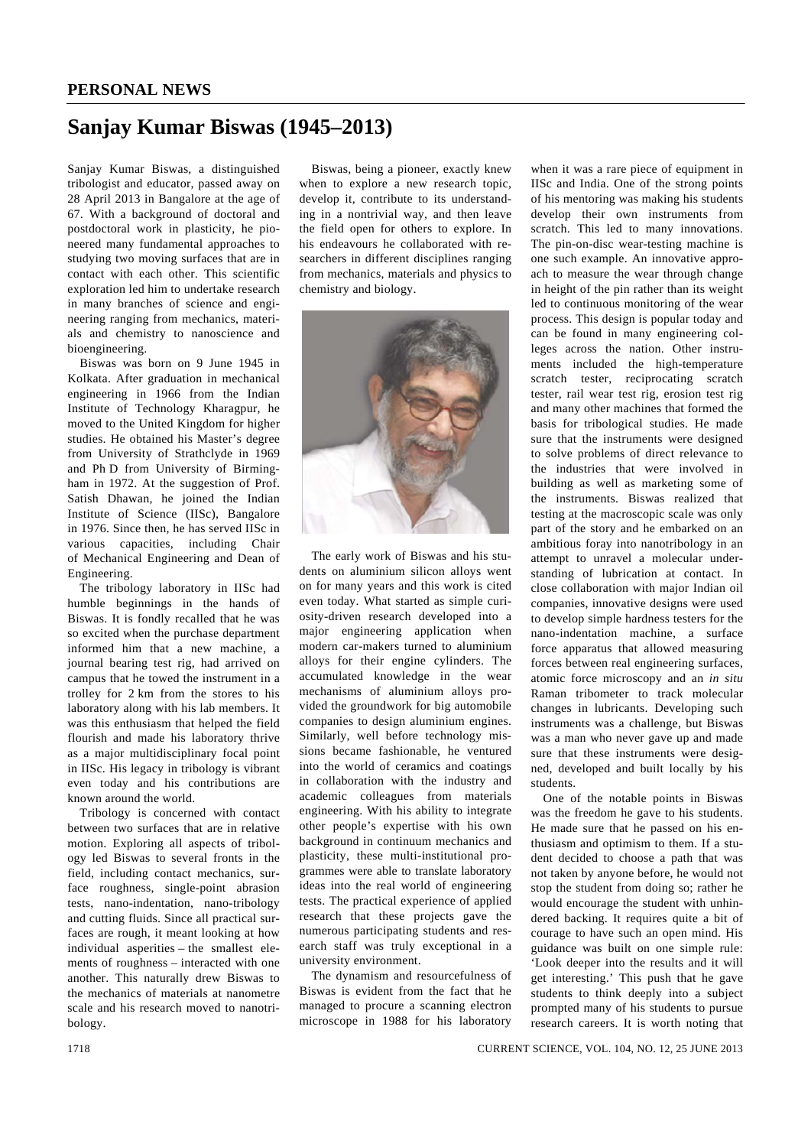## **Sanjay Kumar Biswas (1945–2013)**

Sanjay Kumar Biswas, a distinguished tribologist and educator, passed away on 28 April 2013 in Bangalore at the age of 67. With a background of doctoral and postdoctoral work in plasticity, he pioneered many fundamental approaches to studying two moving surfaces that are in contact with each other. This scientific exploration led him to undertake research in many branches of science and engineering ranging from mechanics, materials and chemistry to nanoscience and bioengineering.

 Biswas was born on 9 June 1945 in Kolkata. After graduation in mechanical engineering in 1966 from the Indian Institute of Technology Kharagpur, he moved to the United Kingdom for higher studies. He obtained his Master's degree from University of Strathclyde in 1969 and Ph D from University of Birmingham in 1972. At the suggestion of Prof. Satish Dhawan, he joined the Indian Institute of Science (IISc), Bangalore in 1976. Since then, he has served IISc in various capacities, including Chair of Mechanical Engineering and Dean of Engineering.

 The tribology laboratory in IISc had humble beginnings in the hands of Biswas. It is fondly recalled that he was so excited when the purchase department informed him that a new machine, a journal bearing test rig, had arrived on campus that he towed the instrument in a trolley for 2 km from the stores to his laboratory along with his lab members. It was this enthusiasm that helped the field flourish and made his laboratory thrive as a major multidisciplinary focal point in IISc. His legacy in tribology is vibrant even today and his contributions are known around the world.

 Tribology is concerned with contact between two surfaces that are in relative motion. Exploring all aspects of tribology led Biswas to several fronts in the field, including contact mechanics, surface roughness, single-point abrasion tests, nano-indentation, nano-tribology and cutting fluids. Since all practical surfaces are rough, it meant looking at how individual asperities – the smallest elements of roughness – interacted with one another. This naturally drew Biswas to the mechanics of materials at nanometre scale and his research moved to nanotribology.

 Biswas, being a pioneer, exactly knew when to explore a new research topic, develop it, contribute to its understanding in a nontrivial way, and then leave the field open for others to explore. In his endeavours he collaborated with researchers in different disciplines ranging from mechanics, materials and physics to chemistry and biology.



 The early work of Biswas and his students on aluminium silicon alloys went on for many years and this work is cited even today. What started as simple curiosity-driven research developed into a major engineering application when modern car-makers turned to aluminium alloys for their engine cylinders. The accumulated knowledge in the wear mechanisms of aluminium alloys provided the groundwork for big automobile companies to design aluminium engines. Similarly, well before technology missions became fashionable, he ventured into the world of ceramics and coatings in collaboration with the industry and academic colleagues from materials engineering. With his ability to integrate other people's expertise with his own background in continuum mechanics and plasticity, these multi-institutional programmes were able to translate laboratory ideas into the real world of engineering tests. The practical experience of applied research that these projects gave the numerous participating students and research staff was truly exceptional in a university environment.

 The dynamism and resourcefulness of Biswas is evident from the fact that he managed to procure a scanning electron microscope in 1988 for his laboratory when it was a rare piece of equipment in IISc and India. One of the strong points of his mentoring was making his students develop their own instruments from scratch. This led to many innovations. The pin-on-disc wear-testing machine is one such example. An innovative approach to measure the wear through change in height of the pin rather than its weight led to continuous monitoring of the wear process. This design is popular today and can be found in many engineering colleges across the nation. Other instruments included the high-temperature scratch tester, reciprocating scratch tester, rail wear test rig, erosion test rig and many other machines that formed the basis for tribological studies. He made sure that the instruments were designed to solve problems of direct relevance to the industries that were involved in building as well as marketing some of the instruments. Biswas realized that testing at the macroscopic scale was only part of the story and he embarked on an ambitious foray into nanotribology in an attempt to unravel a molecular understanding of lubrication at contact. In close collaboration with major Indian oil companies, innovative designs were used to develop simple hardness testers for the nano-indentation machine, a surface force apparatus that allowed measuring forces between real engineering surfaces, atomic force microscopy and an *in situ* Raman tribometer to track molecular changes in lubricants. Developing such instruments was a challenge, but Biswas was a man who never gave up and made sure that these instruments were designed, developed and built locally by his students.

 One of the notable points in Biswas was the freedom he gave to his students. He made sure that he passed on his enthusiasm and optimism to them. If a student decided to choose a path that was not taken by anyone before, he would not stop the student from doing so; rather he would encourage the student with unhindered backing. It requires quite a bit of courage to have such an open mind. His guidance was built on one simple rule: 'Look deeper into the results and it will get interesting.' This push that he gave students to think deeply into a subject prompted many of his students to pursue research careers. It is worth noting that